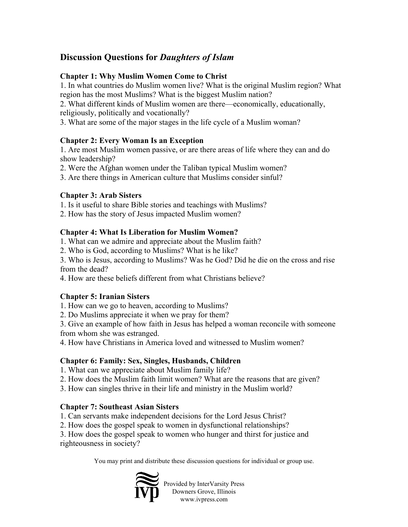# **Discussion Questions for** *Daughters of Islam*

# **Chapter 1: Why Muslim Women Come to Christ**

1. In what countries do Muslim women live? What is the original Muslim region? What region has the most Muslims? What is the biggest Muslim nation?

2. What different kinds of Muslim women are there—economically, educationally, religiously, politically and vocationally?

3. What are some of the major stages in the life cycle of a Muslim woman?

#### **Chapter 2: Every Woman Is an Exception**

1. Are most Muslim women passive, or are there areas of life where they can and do show leadership?

2. Were the Afghan women under the Taliban typical Muslim women?

3. Are there things in American culture that Muslims consider sinful?

# **Chapter 3: Arab Sisters**

1. Is it useful to share Bible stories and teachings with Muslims?

2. How has the story of Jesus impacted Muslim women?

# **Chapter 4: What Is Liberation for Muslim Women?**

1. What can we admire and appreciate about the Muslim faith?

2. Who is God, according to Muslims? What is he like?

3. Who is Jesus, according to Muslims? Was he God? Did he die on the cross and rise from the dead?

4. How are these beliefs different from what Christians believe?

# **Chapter 5: Iranian Sisters**

1. How can we go to heaven, according to Muslims?

2. Do Muslims appreciate it when we pray for them?

3. Give an example of how faith in Jesus has helped a woman reconcile with someone from whom she was estranged.

4. How have Christians in America loved and witnessed to Muslim women?

# **Chapter 6: Family: Sex, Singles, Husbands, Children**

1. What can we appreciate about Muslim family life?

2. How does the Muslim faith limit women? What are the reasons that are given?

3. How can singles thrive in their life and ministry in the Muslim world?

# **Chapter 7: Southeast Asian Sisters**

1. Can servants make independent decisions for the Lord Jesus Christ?

2. How does the gospel speak to women in dysfunctional relationships?

3. How does the gospel speak to women who hunger and thirst for justice and righteousness in society?

You may print and distribute these discussion questions for individual or group use.



Provided by InterVarsity Press Downers Grove, Illinois www.ivpress.com